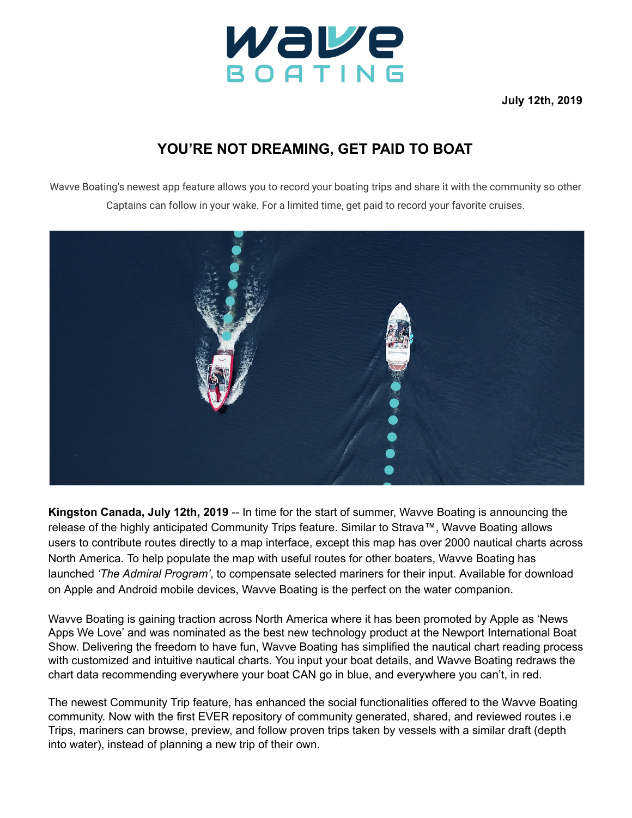

**July 12th, 2019**

## **YOU'RE NOT DREAMING, GET PAID TO BOAT**

Wavve Boating's newest app feature allows you to record your boating trips and share it with the community so other Captains can follow in your wake. For a limited time, get paid to record your favorite cruises.



**Kingston Canada, July 12th, 2019** -- In time for the start of summer, Wavve Boating is announcing the release of the highly anticipated Community Trips feature. Similar to Strava™, Wavve Boating allows users to contribute routes directly to a map interface, except this map has over 2000 nautical charts across North America. To help populate the map with useful routes for other boaters, Wavve Boating has launched *'The Admiral Program'*, to compensate selected mariners for their input. Available for download on Apple and Android mobile devices, Wavve Boating is the perfect on the water companion.

Wavve Boating is gaining traction across North America where it has been promoted by Apple as 'News Apps We Love' and was nominated as the best new technology product at the Newport International Boat Show. Delivering the freedom to have fun, Wavve Boating has simplified the nautical chart reading process with customized and intuitive nautical charts. You input your boat details, and Wavve Boating redraws the chart data recommending everywhere your boat CAN go in blue, and everywhere you can't, in red.

The newest Community Trip feature, has enhanced the social functionalities offered to the Wavve Boating community. Now with the first EVER repository of community generated, shared, and reviewed routes i.e Trips, mariners can browse, preview, and follow proven trips taken by vessels with a similar draft (depth into water), instead of planning a new trip of their own.